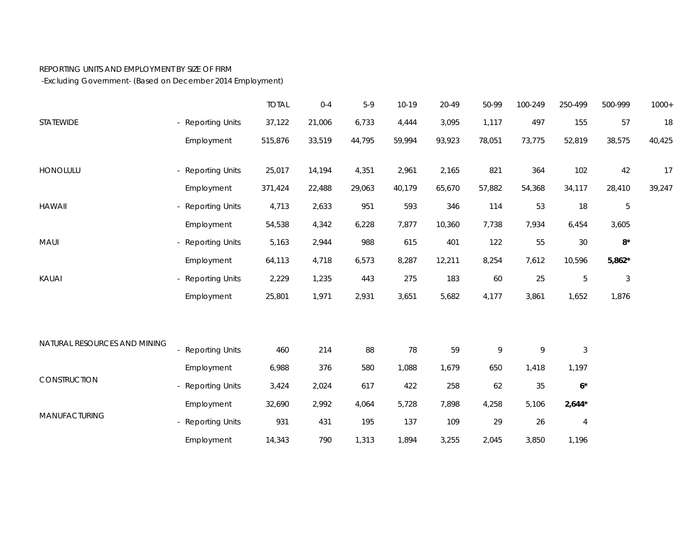## REPORTING UNITS AND EMPLOYMENT BY SIZE OF FIRM

-Excluding Government- (Based on December 2014 Employment)

|                              |                   | <b>TOTAL</b> | $0 - 4$ | $5-9$  | $10-19$ | 20-49  | 50-99  | 100-249 | 250-499        | 500-999        | $1000+$ |
|------------------------------|-------------------|--------------|---------|--------|---------|--------|--------|---------|----------------|----------------|---------|
| STATEWIDE                    | - Reporting Units | 37,122       | 21,006  | 6,733  | 4,444   | 3,095  | 1,117  | 497     | 155            | 57             | 18      |
|                              | Employment        | 515,876      | 33,519  | 44,795 | 59,994  | 93,923 | 78,051 | 73,775  | 52,819         | 38,575         | 40,425  |
| HONOLULU                     | - Reporting Units | 25,017       | 14,194  | 4,351  | 2,961   | 2,165  | 821    | 364     | 102            | 42             | 17      |
|                              | Employment        | 371,424      | 22,488  | 29,063 | 40,179  | 65,670 | 57,882 | 54,368  | 34,117         | 28,410         | 39,247  |
| <b>HAWAII</b>                | - Reporting Units | 4,713        | 2,633   | 951    | 593     | 346    | 114    | 53      | 18             | 5              |         |
|                              | Employment        | 54,538       | 4,342   | 6,228  | 7,877   | 10,360 | 7,738  | 7,934   | 6,454          | 3,605          |         |
| MAUI                         | - Reporting Units | 5,163        | 2,944   | 988    | 615     | 401    | 122    | 55      | 30             | $8^{\star}$    |         |
|                              | Employment        | 64,113       | 4,718   | 6,573  | 8,287   | 12,211 | 8,254  | 7,612   | 10,596         | $5,862*$       |         |
| KAUAI                        | - Reporting Units | 2,229        | 1,235   | 443    | 275     | 183    | 60     | 25      | $\mathbf 5$    | $\mathfrak{Z}$ |         |
|                              | Employment        | 25,801       | 1,971   | 2,931  | 3,651   | 5,682  | 4,177  | 3,861   | 1,652          | 1,876          |         |
|                              |                   |              |         |        |         |        |        |         |                |                |         |
| NATURAL RESOURCES AND MINING | - Reporting Units | 460          | 214     | 88     | 78      | 59     | 9      | 9       | $\sqrt{3}$     |                |         |
| CONSTRUCTION                 | Employment        | 6,988        | 376     | 580    | 1,088   | 1,679  | 650    | 1,418   | 1,197          |                |         |
|                              | - Reporting Units | 3,424        | 2,024   | 617    | 422     | 258    | 62     | 35      | $6*$           |                |         |
| MANUFACTURING                | Employment        | 32,690       | 2,992   | 4,064  | 5,728   | 7,898  | 4,258  | 5,106   | $2,644*$       |                |         |
|                              | - Reporting Units | 931          | 431     | 195    | 137     | 109    | 29     | 26      | $\overline{4}$ |                |         |
|                              | Employment        | 14,343       | 790     | 1,313  | 1,894   | 3,255  | 2,045  | 3,850   | 1,196          |                |         |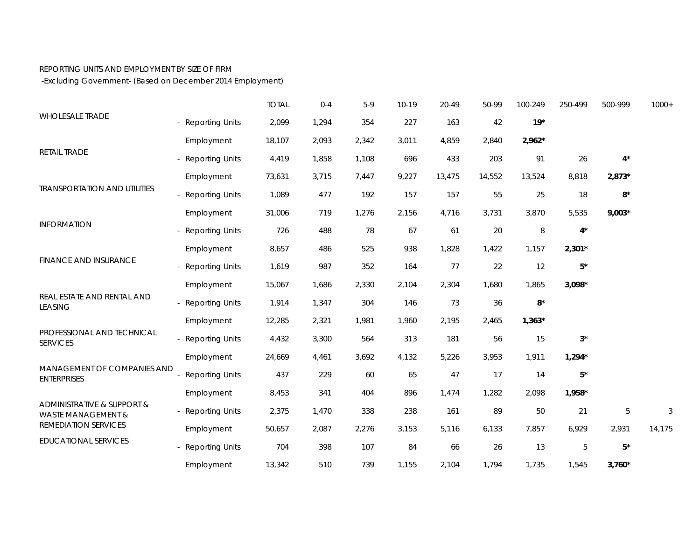## REPORTING UNITS AND EMPLOYMENT BY SIZE OF FIRM

-Excluding Government- (Based on December 2014 Employment)

|                                                                                     |                        | <b>TOTAL</b> | $0 - 4$ | $5-9$ | 10-19 | 20-49  | 50-99  | 100-249  | 250-499     | 500-999         | $1000+$ |
|-------------------------------------------------------------------------------------|------------------------|--------------|---------|-------|-------|--------|--------|----------|-------------|-----------------|---------|
| <b>WHOLESALE TRADE</b>                                                              | - Reporting Units      | 2,099        | 1,294   | 354   | 227   | 163    | 42     | $19*$    |             |                 |         |
| RETAIL TRADE                                                                        | Employment             | 18,107       | 2,093   | 2,342 | 3,011 | 4,859  | 2,840  | $2,962*$ |             |                 |         |
|                                                                                     | - Reporting Units      | 4,419        | 1,858   | 1,108 | 696   | 433    | 203    | 91       | 26          | $4^{\star}$     |         |
| <b>TRANSPORTATION AND UTILITIES</b>                                                 | Employment             | 73,631       | 3,715   | 7,447 | 9,227 | 13,475 | 14,552 | 13,524   | 8,818       | $2,873*$        |         |
|                                                                                     | - Reporting Units      | 1,089        | 477     | 192   | 157   | 157    | 55     | 25       | 18          | $\rm 8^{\star}$ |         |
| <b>INFORMATION</b>                                                                  | Employment             | 31,006       | 719     | 1,276 | 2,156 | 4,716  | 3,731  | 3,870    | 5,535       | $9,003*$        |         |
|                                                                                     | - Reporting Units      | 726          | 488     | 78    | 67    | 61     | 20     | 8        | $4^*$       |                 |         |
| <b>FINANCE AND INSURANCE</b>                                                        | Employment             | 8,657        | 486     | 525   | 938   | 1,828  | 1,422  | 1,157    | $2,301*$    |                 |         |
|                                                                                     | - Reporting Units      | 1,619        | 987     | 352   | 164   | 77     | 22     | 12       | $5*$        |                 |         |
|                                                                                     | Employment             | 15,067       | 1,686   | 2,330 | 2,104 | 2,304  | 1,680  | 1,865    | $3,098*$    |                 |         |
| REAL ESTATE AND RENTAL AND<br><b>LEASING</b>                                        | - Reporting Units      | 1,914        | 1,347   | 304   | 146   | 73     | 36     | $8*$     |             |                 |         |
|                                                                                     | Employment             | 12,285       | 2,321   | 1,981 | 1,960 | 2,195  | 2,465  | $1,363*$ |             |                 |         |
| PROFESSIONAL AND TECHNICAL<br><b>SERVICES</b>                                       | - Reporting Units      | 4,432        | 3,300   | 564   | 313   | 181    | 56     | 15       | $3^{\star}$ |                 |         |
|                                                                                     | Employment             | 24,669       | 4,461   | 3,692 | 4,132 | 5,226  | 3,953  | 1,911    | $1,294*$    |                 |         |
| MANAGEMENT OF COMPANIES AND<br><b>ENTERPRISES</b>                                   | <b>Reporting Units</b> | 437          | 229     | 60    | 65    | 47     | 17     | 14       | $5*$        |                 |         |
|                                                                                     | Employment             | 8,453        | 341     | 404   | 896   | 1,474  | 1,282  | 2,098    | 1,958*      |                 |         |
| ADMINISTRATIVE & SUPPORT &<br><b>WASTE MANAGEMENT &amp;</b><br>REMEDIATION SERVICES | - Reporting Units      | 2,375        | 1,470   | 338   | 238   | 161    | 89     | 50       | 21          | $5\,$           | 3       |
|                                                                                     | Employment             | 50,657       | 2,087   | 2,276 | 3,153 | 5,116  | 6,133  | 7,857    | 6,929       | 2,931           | 14,175  |
| <b>EDUCATIONAL SERVICES</b>                                                         | - Reporting Units      | 704          | 398     | 107   | 84    | 66     | 26     | 13       | $\mathbf 5$ | $5^{\star}$     |         |
|                                                                                     | Employment             | 13,342       | 510     | 739   | 1,155 | 2,104  | 1,794  | 1,735    | 1,545       | $3,760*$        |         |